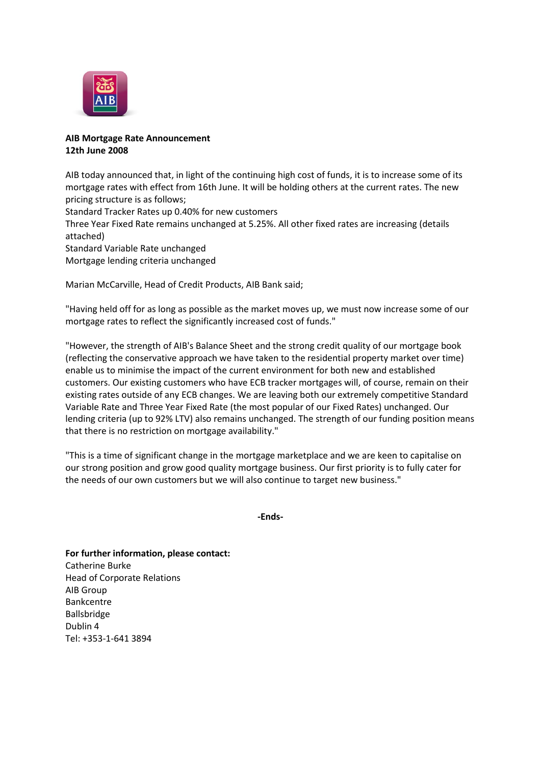

### **AIB Mortgage Rate Announcement 12th June 2008**

AIB today announced that, in light of the continuing high cost of funds, it is to increase some of its mortgage rates with effect from 16th June. It will be holding others at the current rates. The new pricing structure is as follows;

Standard Tracker Rates up 0.40% for new customers

Three Year Fixed Rate remains unchanged at 5.25%. All other fixed rates are increasing (details attached)

Standard Variable Rate unchanged

Mortgage lending criteria unchanged

Marian McCarville, Head of Credit Products, AIB Bank said;

"Having held off for as long as possible as the market moves up, we must now increase some of our mortgage rates to reflect the significantly increased cost of funds."

"However, the strength of AIB's Balance Sheet and the strong credit quality of our mortgage book (reflecting the conservative approach we have taken to the residential property market over time) enable us to minimise the impact of the current environment for both new and established customers. Our existing customers who have ECB tracker mortgages will, of course, remain on their existing rates outside of any ECB changes. We are leaving both our extremely competitive Standard Variable Rate and Three Year Fixed Rate (the most popular of our Fixed Rates) unchanged. Our lending criteria (up to 92% LTV) also remains unchanged. The strength of our funding position means that there is no restriction on mortgage availability."

"This is a time of significant change in the mortgage marketplace and we are keen to capitalise on our strong position and grow good quality mortgage business. Our first priority is to fully cater for the needs of our own customers but we will also continue to target new business."

**-Ends-**

**For further information, please contact:** Catherine Burke Head of Corporate Relations AIB Group Bankcentre Ballsbridge Dublin 4 Tel: +353-1-641 3894